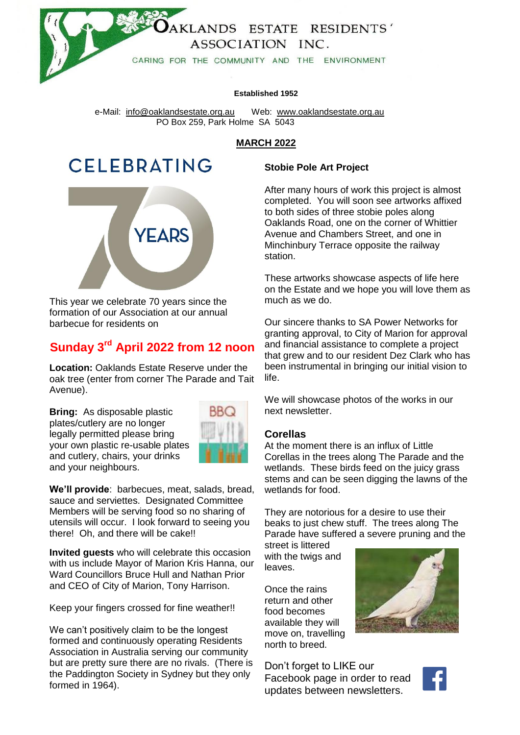

#### **Established 1952**

 e-Mail: [info@oaklandsestate.org.au](mailto:info@oaklandsestate.org.au) Web: [www.oaklandsestate.org.au](http://www.oaklandsestate.org.au/)  PO Box 259, Park Holme SA 5043

## **MARCH 2022**

# **CELEBRATING**



This year we celebrate 70 years since the formation of our Association at our annual barbecue for residents on

# **Sunday 3 rd April 2022 from 12 noon**

**Location:** Oaklands Estate Reserve under the oak tree (enter from corner The Parade and Tait Avenue).

**Bring:** As disposable plastic plates/cutlery are no longer legally permitted please bring your own plastic re-usable plates and cutlery, chairs, your drinks and your neighbours.



**We'll provide**: barbecues, meat, salads, bread, sauce and serviettes. Designated Committee Members will be serving food so no sharing of utensils will occur. I look forward to seeing you there! Oh, and there will be cake!!

**Invited guests** who will celebrate this occasion with us include Mayor of Marion Kris Hanna, our Ward Councillors Bruce Hull and Nathan Prior and CEO of City of Marion, Tony Harrison.

Keep your fingers crossed for fine weather!!

We can't positively claim to be the longest formed and continuously operating Residents Association in Australia serving our community but are pretty sure there are no rivals. (There is the Paddington Society in Sydney but they only formed in 1964).

# **Stobie Pole Art Project**

After many hours of work this project is almost completed. You will soon see artworks affixed to both sides of three stobie poles along Oaklands Road, one on the corner of Whittier Avenue and Chambers Street, and one in Minchinbury Terrace opposite the railway station.

These artworks showcase aspects of life here on the Estate and we hope you will love them as much as we do.

Our sincere thanks to SA Power Networks for granting approval, to City of Marion for approval and financial assistance to complete a project that grew and to our resident Dez Clark who has been instrumental in bringing our initial vision to life.

We will showcase photos of the works in our next newsletter.

## **Corellas**

At the moment there is an influx of Little Corellas in the trees along The Parade and the wetlands. These birds feed on the juicy grass stems and can be seen digging the lawns of the wetlands for food.

They are notorious for a desire to use their beaks to just chew stuff. The trees along The Parade have suffered a severe pruning and the

street is littered with the twigs and leaves.

Once the rains return and other food becomes available they will move on, travelling north to breed.



Don't forget to LIKE our Facebook page in order to read updates between newsletters.

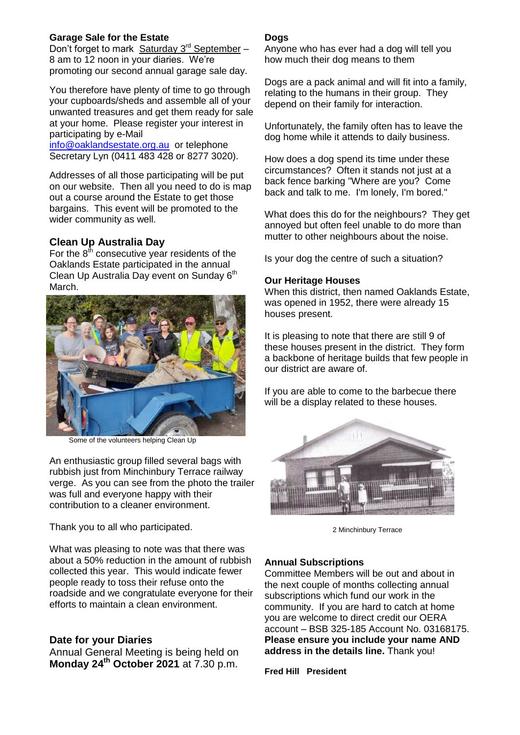## **Garage Sale for the Estate**

Don't forget to mark Saturday 3<sup>rd</sup> September -8 am to 12 noon in your diaries. We're promoting our second annual garage sale day.

You therefore have plenty of time to go through your cupboards/sheds and assemble all of your unwanted treasures and get them ready for sale at your home. Please register your interest in participating by e-Mail

[info@oaklandsestate.org.au](mailto:info@oaklandsestate.org.au) or telephone Secretary Lyn (0411 483 428 or 8277 3020).

Addresses of all those participating will be put on our website. Then all you need to do is map out a course around the Estate to get those bargains. This event will be promoted to the wider community as well.

## **Clean Up Australia Day**

For the  $8<sup>th</sup>$  consecutive year residents of the Oaklands Estate participated in the annual Clean Up Australia Day event on Sunday 6<sup>th</sup> March.



Some of the volunteers helping Clean Up

An enthusiastic group filled several bags with rubbish just from Minchinbury Terrace railway verge. As you can see from the photo the trailer was full and everyone happy with their contribution to a cleaner environment.

Thank you to all who participated.

What was pleasing to note was that there was about a 50% reduction in the amount of rubbish collected this year. This would indicate fewer people ready to toss their refuse onto the roadside and we congratulate everyone for their efforts to maintain a clean environment.

## **Date for your Diaries**

Annual General Meeting is being held on **Monday 24 th October 2021** at 7.30 p.m.

#### **Dogs**

Anyone who has ever had a dog will tell you how much their dog means to them

Dogs are a pack animal and will fit into a family, relating to the humans in their group. They depend on their family for interaction.

Unfortunately, the family often has to leave the dog home while it attends to daily business.

How does a dog spend its time under these circumstances? Often it stands not just at a back fence barking "Where are you? Come back and talk to me. I'm lonely, I'm bored."

What does this do for the neighbours? They get annoyed but often feel unable to do more than mutter to other neighbours about the noise.

Is your dog the centre of such a situation?

#### **Our Heritage Houses**

When this district, then named Oaklands Estate, was opened in 1952, there were already 15 houses present.

It is pleasing to note that there are still 9 of these houses present in the district. They form a backbone of heritage builds that few people in our district are aware of.

If you are able to come to the barbecue there will be a display related to these houses.



2 Minchinbury Terrace

#### **Annual Subscriptions**

Committee Members will be out and about in the next couple of months collecting annual subscriptions which fund our work in the community. If you are hard to catch at home you are welcome to direct credit our OERA account – BSB 325-185 Account No. 03168175. **Please ensure you include your name AND address in the details line.** Thank you!

**Fred Hill President**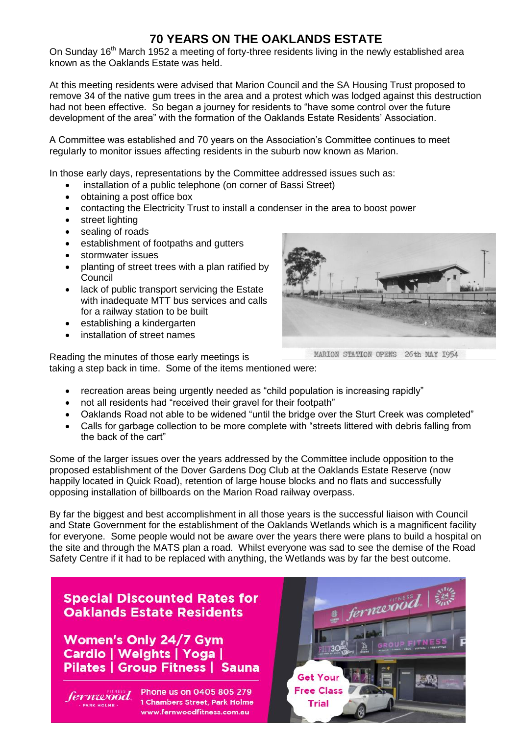# **70 YEARS ON THE OAKLANDS ESTATE**

On Sunday 16<sup>th</sup> March 1952 a meeting of forty-three residents living in the newly established area known as the Oaklands Estate was held.

At this meeting residents were advised that Marion Council and the SA Housing Trust proposed to remove 34 of the native gum trees in the area and a protest which was lodged against this destruction had not been effective. So began a journey for residents to "have some control over the future development of the area" with the formation of the Oaklands Estate Residents' Association.

A Committee was established and 70 years on the Association's Committee continues to meet regularly to monitor issues affecting residents in the suburb now known as Marion.

In those early days, representations by the Committee addressed issues such as:

- installation of a public telephone (on corner of Bassi Street)
- obtaining a post office box
- contacting the Electricity Trust to install a condenser in the area to boost power
- street lighting
- sealing of roads
- **•** establishment of footpaths and gutters
- stormwater issues
- planting of street trees with a plan ratified by **Council**
- lack of public transport servicing the Estate with inadequate MTT bus services and calls for a railway station to be built
- establishing a kindergarten
- installation of street names

MARION STATION OPENS 26th MAY 1954

Reading the minutes of those early meetings is taking a step back in time. Some of the items mentioned were:

- recreation areas being urgently needed as "child population is increasing rapidly"
- not all residents had "received their gravel for their footpath"
- Oaklands Road not able to be widened "until the bridge over the Sturt Creek was completed"
- Calls for garbage collection to be more complete with "streets littered with debris falling from the back of the cart"

Some of the larger issues over the years addressed by the Committee include opposition to the proposed establishment of the Dover Gardens Dog Club at the Oaklands Estate Reserve (now happily located in Quick Road), retention of large house blocks and no flats and successfully opposing installation of billboards on the Marion Road railway overpass.

By far the biggest and best accomplishment in all those years is the successful liaison with Council and State Government for the establishment of the Oaklands Wetlands which is a magnificent facility for everyone. Some people would not be aware over the years there were plans to build a hospital on the site and through the MATS plan a road. Whilst everyone was sad to see the demise of the Road Safety Centre if it had to be replaced with anything, the Wetlands was by far the best outcome.

# **Special Discounted Rates for Oaklands Estate Residents**

**Women's Only 24/7 Gym** Cardio | Weights | Yoga | Pilates | Group Fitness | Sauna

fernwood **ARK HOLME** 

Phone us on 0405 805 279 1 Chambers Street, Park Holme www.fernwoodfitness.com.au